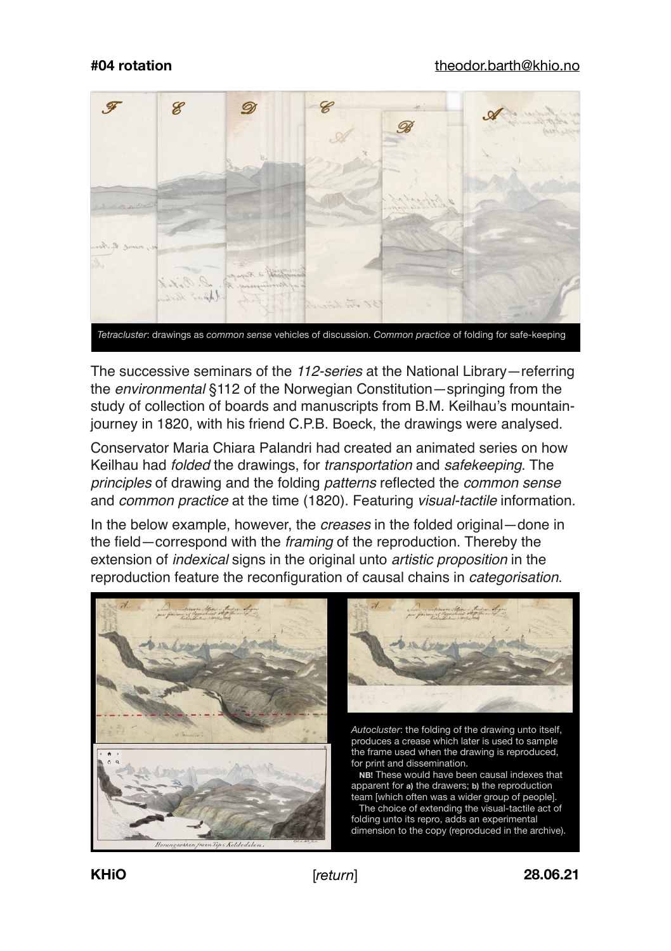

*Tetracluster*: drawings as *common sense* vehicles of discussion. *Common practice* of folding for safe-keeping

The successive seminars of the *112-series* at the National Library—referring the *environmental* §112 of the Norwegian Constitution—springing from the study of collection of boards and manuscripts from B.M. Keilhau's mountainjourney in 1820, with his friend C.P.B. Boeck, the drawings were analysed.

Conservator Maria Chiara Palandri had created an animated series on how Keilhau had *folded* the drawings, for *transportation* and *safekeeping*. The *principles* of drawing and the folding *patterns* reflected the *common sense* and *common practice* at the time (1820). Featuring *visual-tactile* information.

In the below example, however, the *creases* in the folded original—done in the field—correspond with the *framing* of the reproduction. Thereby the extension of *indexical* signs in the original unto *artistic proposition* in the reproduction feature the reconfiguration of causal chains in *categorisation*.





*Autocluster*: the folding of the drawing unto itself, produces a crease which later is used to sample the frame used when the drawing is reproduced, for print and dissemination.

 **NB!** These would have been causal indexes that apparent for **a)** the drawers; **b)** the reproduction team [which often was a wider group of people].

 The choice of extending the visual-tactile act of folding unto its repro, adds an experimental dimension to the copy (reproduced in the archive).